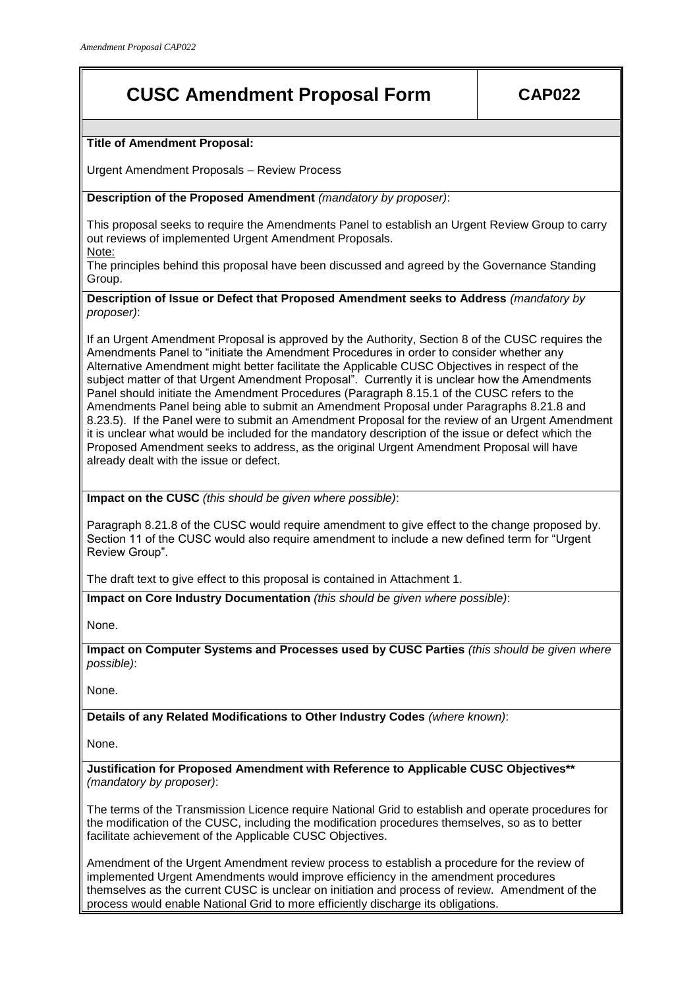# **CUSC Amendment Proposal Form CAP022**

**Title of Amendment Proposal:**

Urgent Amendment Proposals – Review Process

**Description of the Proposed Amendment** *(mandatory by proposer)*:

This proposal seeks to require the Amendments Panel to establish an Urgent Review Group to carry out reviews of implemented Urgent Amendment Proposals. Note:

The principles behind this proposal have been discussed and agreed by the Governance Standing Group.

**Description of Issue or Defect that Proposed Amendment seeks to Address** *(mandatory by proposer)*:

If an Urgent Amendment Proposal is approved by the Authority, Section 8 of the CUSC requires the Amendments Panel to "initiate the Amendment Procedures in order to consider whether any Alternative Amendment might better facilitate the Applicable CUSC Objectives in respect of the subject matter of that Urgent Amendment Proposal". Currently it is unclear how the Amendments Panel should initiate the Amendment Procedures (Paragraph 8.15.1 of the CUSC refers to the Amendments Panel being able to submit an Amendment Proposal under Paragraphs 8.21.8 and 8.23.5). If the Panel were to submit an Amendment Proposal for the review of an Urgent Amendment it is unclear what would be included for the mandatory description of the issue or defect which the Proposed Amendment seeks to address, as the original Urgent Amendment Proposal will have already dealt with the issue or defect.

**Impact on the CUSC** *(this should be given where possible)*:

Paragraph 8.21.8 of the CUSC would require amendment to give effect to the change proposed by. Section 11 of the CUSC would also require amendment to include a new defined term for "Urgent Review Group".

The draft text to give effect to this proposal is contained in Attachment 1.

**Impact on Core Industry Documentation** *(this should be given where possible)*:

None.

**Impact on Computer Systems and Processes used by CUSC Parties** *(this should be given where possible)*:

None.

**Details of any Related Modifications to Other Industry Codes** *(where known)*:

None.

**Justification for Proposed Amendment with Reference to Applicable CUSC Objectives\*\***  *(mandatory by proposer)*:

The terms of the Transmission Licence require National Grid to establish and operate procedures for the modification of the CUSC, including the modification procedures themselves, so as to better facilitate achievement of the Applicable CUSC Objectives.

Amendment of the Urgent Amendment review process to establish a procedure for the review of implemented Urgent Amendments would improve efficiency in the amendment procedures themselves as the current CUSC is unclear on initiation and process of review. Amendment of the process would enable National Grid to more efficiently discharge its obligations.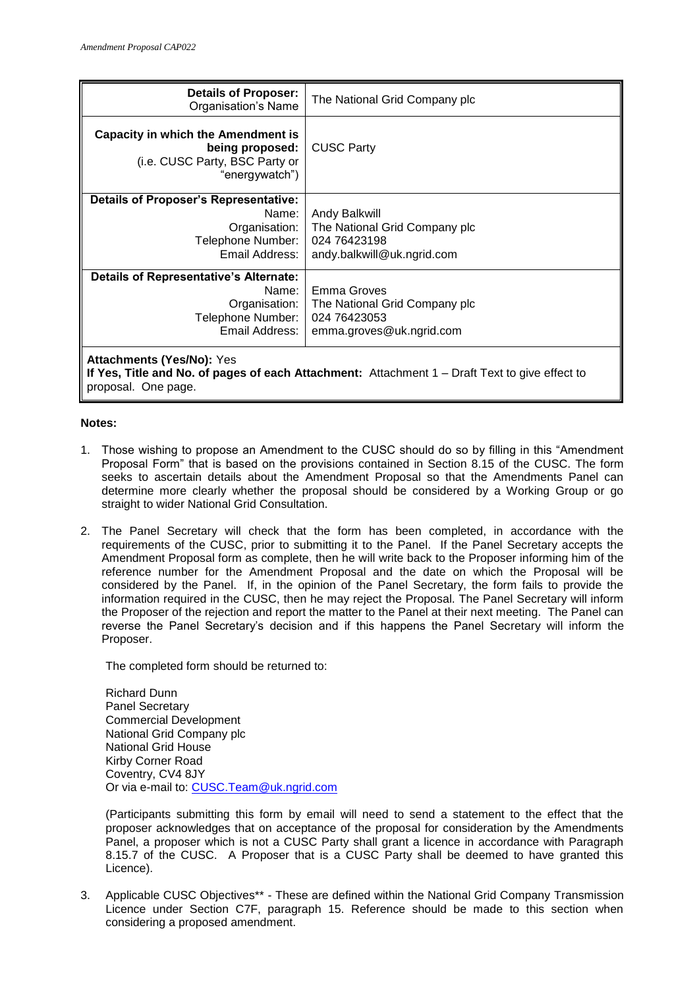| <b>Details of Proposer:</b><br>Organisation's Name                                                                                                          | The National Grid Company plc                                                                |
|-------------------------------------------------------------------------------------------------------------------------------------------------------------|----------------------------------------------------------------------------------------------|
| Capacity in which the Amendment is<br>being proposed:<br>(i.e. CUSC Party, BSC Party or<br>"energywatch")                                                   | <b>CUSC Party</b>                                                                            |
| <b>Details of Proposer's Representative:</b><br>Name:<br>Organisation:<br>Telephone Number:<br>Email Address:                                               | Andy Balkwill<br>The National Grid Company plc<br>024 76423198<br>andy.balkwill@uk.ngrid.com |
| <b>Details of Representative's Alternate:</b><br>Name:<br>Organisation:<br>Telephone Number:<br>Email Address:                                              | Emma Groves<br>The National Grid Company plc<br>024 76423053<br>emma.groves@uk.ngrid.com     |
| <b>Attachments (Yes/No): Yes</b><br>If Yes, Title and No. of pages of each Attachment: Attachment $1 -$ Draft Text to give effect to<br>proposal. One page. |                                                                                              |

#### **Notes:**

- 1. Those wishing to propose an Amendment to the CUSC should do so by filling in this "Amendment Proposal Form" that is based on the provisions contained in Section 8.15 of the CUSC. The form seeks to ascertain details about the Amendment Proposal so that the Amendments Panel can determine more clearly whether the proposal should be considered by a Working Group or go straight to wider National Grid Consultation.
- 2. The Panel Secretary will check that the form has been completed, in accordance with the requirements of the CUSC, prior to submitting it to the Panel. If the Panel Secretary accepts the Amendment Proposal form as complete, then he will write back to the Proposer informing him of the reference number for the Amendment Proposal and the date on which the Proposal will be considered by the Panel. If, in the opinion of the Panel Secretary, the form fails to provide the information required in the CUSC, then he may reject the Proposal. The Panel Secretary will inform the Proposer of the rejection and report the matter to the Panel at their next meeting. The Panel can reverse the Panel Secretary's decision and if this happens the Panel Secretary will inform the Proposer.

The completed form should be returned to:

Richard Dunn Panel Secretary Commercial Development National Grid Company plc National Grid House Kirby Corner Road Coventry, CV4 8JY Or via e-mail to: [CUSC.Team@uk.ngrid.com](mailto:CUSC.Team@uk.ngrid.com)

(Participants submitting this form by email will need to send a statement to the effect that the proposer acknowledges that on acceptance of the proposal for consideration by the Amendments Panel, a proposer which is not a CUSC Party shall grant a licence in accordance with Paragraph 8.15.7 of the CUSC. A Proposer that is a CUSC Party shall be deemed to have granted this Licence).

3. Applicable CUSC Objectives\*\* - These are defined within the National Grid Company Transmission Licence under Section C7F, paragraph 15. Reference should be made to this section when considering a proposed amendment.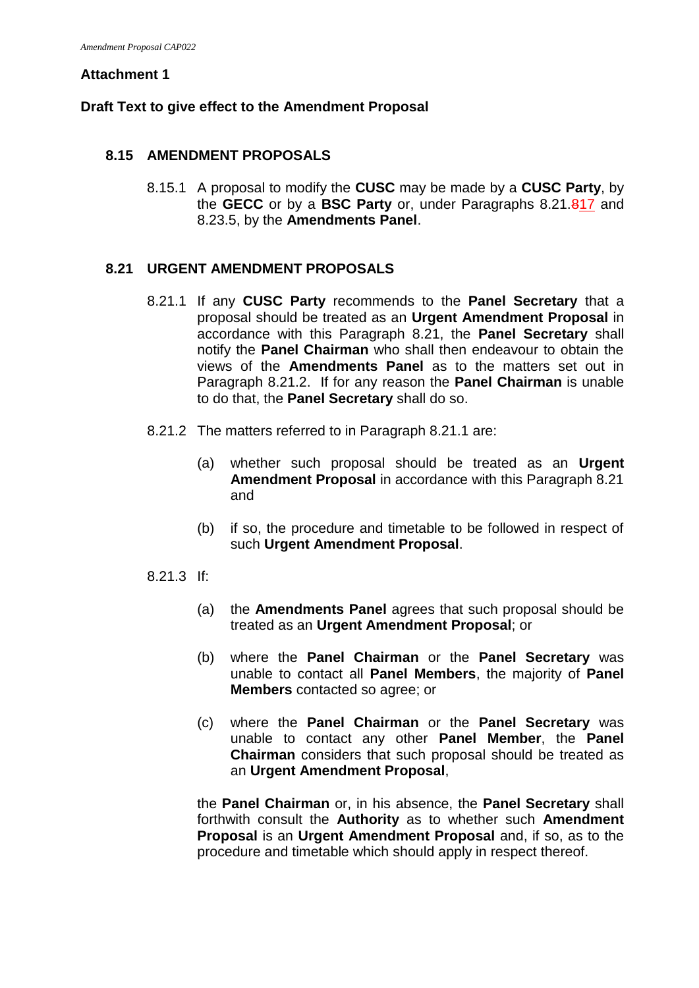#### **Attachment 1**

### **Draft Text to give effect to the Amendment Proposal**

### **8.15 AMENDMENT PROPOSALS**

8.15.1 A proposal to modify the **CUSC** may be made by a **CUSC Party**, by the **GECC** or by a **BSC Party** or, under Paragraphs 8.21.817 and 8.23.5, by the **Amendments Panel**.

#### **8.21 URGENT AMENDMENT PROPOSALS**

- 8.21.1 If any **CUSC Party** recommends to the **Panel Secretary** that a proposal should be treated as an **Urgent Amendment Proposal** in accordance with this Paragraph 8.21, the **Panel Secretary** shall notify the **Panel Chairman** who shall then endeavour to obtain the views of the **Amendments Panel** as to the matters set out in Paragraph 8.21.2. If for any reason the **Panel Chairman** is unable to do that, the **Panel Secretary** shall do so.
- 8.21.2 The matters referred to in Paragraph 8.21.1 are:
	- (a) whether such proposal should be treated as an **Urgent Amendment Proposal** in accordance with this Paragraph 8.21 and
	- (b) if so, the procedure and timetable to be followed in respect of such **Urgent Amendment Proposal**.
- 8.21.3 If:
	- (a) the **Amendments Panel** agrees that such proposal should be treated as an **Urgent Amendment Proposal**; or
	- (b) where the **Panel Chairman** or the **Panel Secretary** was unable to contact all **Panel Members**, the majority of **Panel Members** contacted so agree; or
	- (c) where the **Panel Chairman** or the **Panel Secretary** was unable to contact any other **Panel Member**, the **Panel Chairman** considers that such proposal should be treated as an **Urgent Amendment Proposal**,

the **Panel Chairman** or, in his absence, the **Panel Secretary** shall forthwith consult the **Authority** as to whether such **Amendment Proposal** is an **Urgent Amendment Proposal** and, if so, as to the procedure and timetable which should apply in respect thereof.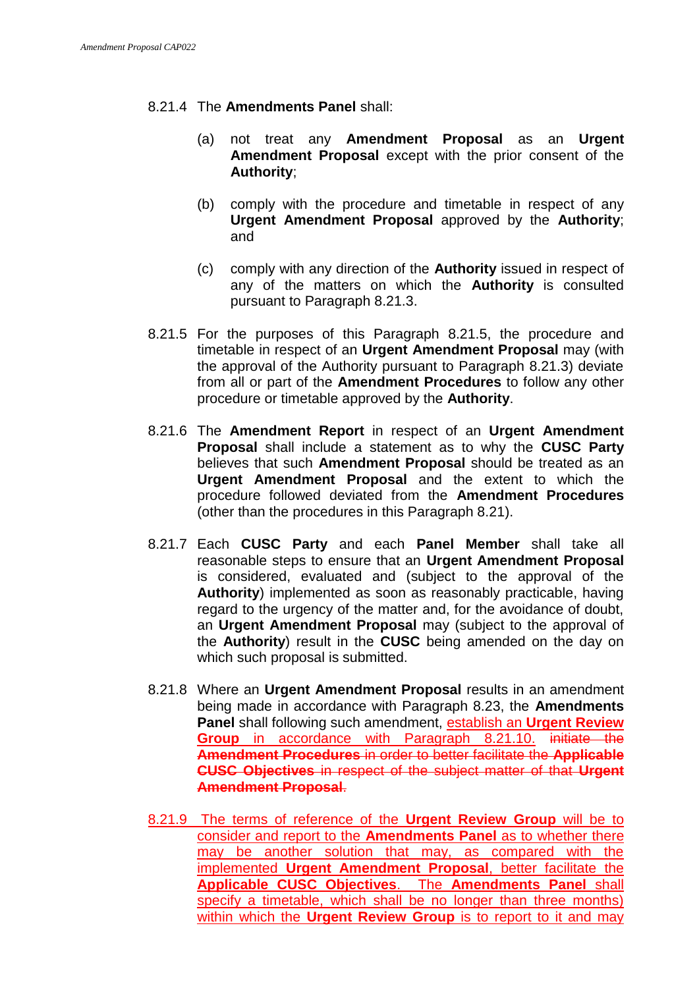### 8.21.4 The **Amendments Panel** shall:

- (a) not treat any **Amendment Proposal** as an **Urgent Amendment Proposal** except with the prior consent of the **Authority**;
- (b) comply with the procedure and timetable in respect of any **Urgent Amendment Proposal** approved by the **Authority**; and
- (c) comply with any direction of the **Authority** issued in respect of any of the matters on which the **Authority** is consulted pursuant to Paragraph 8.21.3.
- 8.21.5 For the purposes of this Paragraph 8.21.5, the procedure and timetable in respect of an **Urgent Amendment Proposal** may (with the approval of the Authority pursuant to Paragraph 8.21.3) deviate from all or part of the **Amendment Procedures** to follow any other procedure or timetable approved by the **Authority**.
- 8.21.6 The **Amendment Report** in respect of an **Urgent Amendment Proposal** shall include a statement as to why the **CUSC Party** believes that such **Amendment Proposal** should be treated as an **Urgent Amendment Proposal** and the extent to which the procedure followed deviated from the **Amendment Procedures** (other than the procedures in this Paragraph 8.21).
- 8.21.7 Each **CUSC Party** and each **Panel Member** shall take all reasonable steps to ensure that an **Urgent Amendment Proposal** is considered, evaluated and (subject to the approval of the **Authority**) implemented as soon as reasonably practicable, having regard to the urgency of the matter and, for the avoidance of doubt, an **Urgent Amendment Proposal** may (subject to the approval of the **Authority**) result in the **CUSC** being amended on the day on which such proposal is submitted.
- 8.21.8 Where an **Urgent Amendment Proposal** results in an amendment being made in accordance with Paragraph 8.23, the **Amendments Panel** shall following such amendment, establish an **Urgent Review Group** in accordance with Paragraph 8.21.10. initiate the **Amendment Procedures** in order to better facilitate the **Applicable CUSC Objectives** in respect of the subject matter of that **Urgent Amendment Proposal**.
- 8.21.9 The terms of reference of the **Urgent Review Group** will be to consider and report to the **Amendments Panel** as to whether there may be another solution that may, as compared with the implemented **Urgent Amendment Proposal**, better facilitate the **Applicable CUSC Objectives**. The **Amendments Panel** shall specify a timetable, which shall be no longer than three months) within which the **Urgent Review Group** is to report to it and may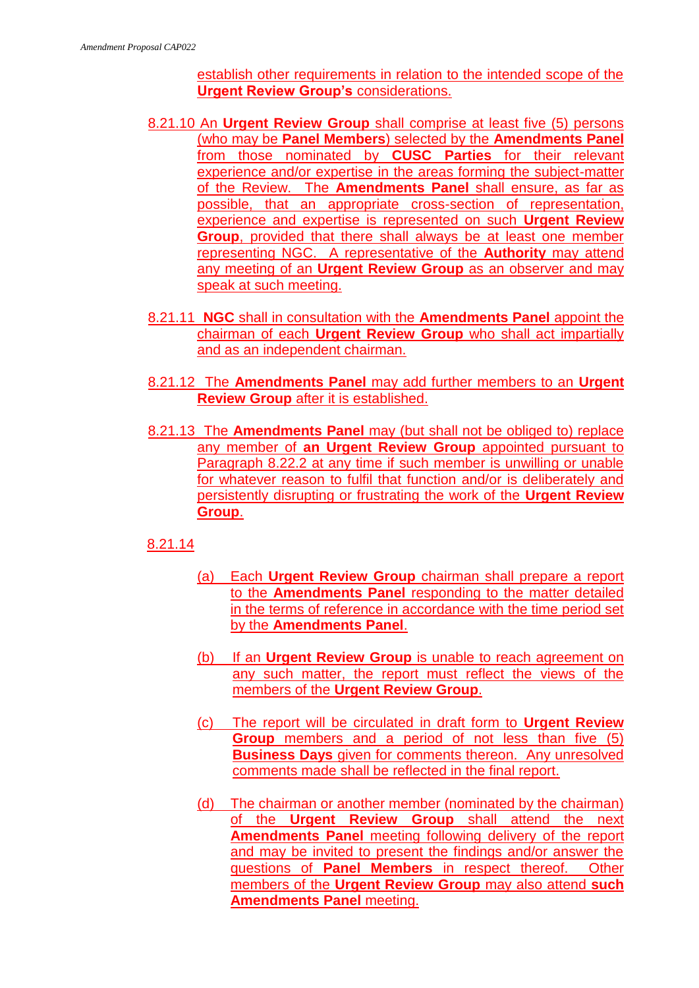establish other requirements in relation to the intended scope of the **Urgent Review Group's** considerations.

- 8.21.10 An **Urgent Review Group** shall comprise at least five (5) persons (who may be **Panel Members**) selected by the **Amendments Panel** from those nominated by **CUSC Parties** for their relevant experience and/or expertise in the areas forming the subject-matter of the Review. The **Amendments Panel** shall ensure, as far as possible, that an appropriate cross-section of representation, experience and expertise is represented on such **Urgent Review Group**, provided that there shall always be at least one member representing NGC. A representative of the **Authority** may attend any meeting of an **Urgent Review Group** as an observer and may speak at such meeting.
- 8.21.11 **NGC** shall in consultation with the **Amendments Panel** appoint the chairman of each **Urgent Review Group** who shall act impartially and as an independent chairman.
- 8.21.12 The **Amendments Panel** may add further members to an **Urgent Review Group** after it is established.
- 8.21.13 The **Amendments Panel** may (but shall not be obliged to) replace any member of **an Urgent Review Group** appointed pursuant to Paragraph 8.22.2 at any time if such member is unwilling or unable for whatever reason to fulfil that function and/or is deliberately and persistently disrupting or frustrating the work of the **Urgent Review Group**.

## 8.21.14

- (a) Each **Urgent Review Group** chairman shall prepare a report to the **Amendments Panel** responding to the matter detailed in the terms of reference in accordance with the time period set by the **Amendments Panel**.
- (b) If an **Urgent Review Group** is unable to reach agreement on any such matter, the report must reflect the views of the members of the **Urgent Review Group**.
- (c) The report will be circulated in draft form to **Urgent Review Group** members and a period of not less than five (5) **Business Days** given for comments thereon. Any unresolved comments made shall be reflected in the final report.
- (d) The chairman or another member (nominated by the chairman) of the **Urgent Review Group** shall attend the next **Amendments Panel** meeting following delivery of the report and may be invited to present the findings and/or answer the questions of **Panel Members** in respect thereof. Other members of the **Urgent Review Group** may also attend **such Amendments Panel** meeting.